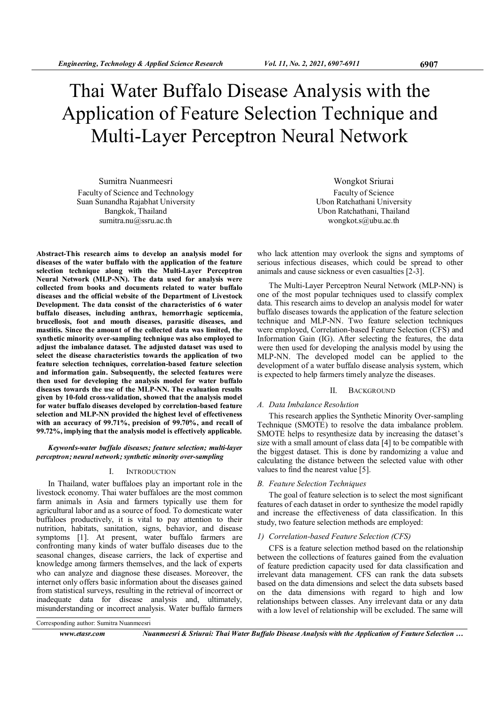# Thai Water Buffalo Disease Analysis with the Application of Feature Selection Technique and Multi-Layer Perceptron Neural Network

Sumitra Nuanmeesri Faculty of Science and Technology Suan Sunandha Rajabhat University Bangkok, Thailand sumitra.nu@ssru.ac.th

Abstract-This research aims to develop an analysis model for diseases of the water buffalo with the application of the feature selection technique along with the Multi-Layer Perceptron Neural Network (MLP-NN). The data used for analysis were collected from books and documents related to water buffalo diseases and the official website of the Department of Livestock Development. The data consist of the characteristics of 6 water buffalo diseases, including anthrax, hemorrhagic septicemia, brucellosis, foot and mouth diseases, parasitic diseases, and mastitis. Since the amount of the collected data was limited, the synthetic minority over-sampling technique was also employed to adjust the imbalance dataset. The adjusted dataset was used to select the disease characteristics towards the application of two feature selection techniques, correlation-based feature selection and information gain. Subsequently, the selected features were then used for developing the analysis model for water buffalo diseases towards the use of the MLP-NN. The evaluation results given by 10-fold cross-validation, showed that the analysis model for water buffalo diseases developed by correlation-based feature selection and MLP-NN provided the highest level of effectiveness with an accuracy of 99.71%, precision of 99.70%, and recall of 99.72%, implying that the analysis model is effectively applicable.

## Keywords-water buffalo diseases; feature selection; multi-layer perceptron; neural network; synthetic minority over-sampling

# I. INTRODUCTION

In Thailand, water buffaloes play an important role in the livestock economy. Thai water buffaloes are the most common farm animals in Asia and farmers typically use them for agricultural labor and as a source of food. To domesticate water buffaloes productively, it is vital to pay attention to their nutrition, habitats, sanitation, signs, behavior, and disease symptoms [1]. At present, water buffalo farmers are confronting many kinds of water buffalo diseases due to the seasonal changes, disease carriers, the lack of expertise and knowledge among farmers themselves, and the lack of experts who can analyze and diagnose these diseases. Moreover, the internet only offers basic information about the diseases gained from statistical surveys, resulting in the retrieval of incorrect or inadequate data for disease analysis and, ultimately, misunderstanding or incorrect analysis. Water buffalo farmers

Wongkot Sriurai Faculty of Science Ubon Ratchathani University Ubon Ratchathani, Thailand wongkot.s@ubu.ac.th

who lack attention may overlook the signs and symptoms of serious infectious diseases, which could be spread to other animals and cause sickness or even casualties [2-3].

The Multi-Layer Perceptron Neural Network (MLP-NN) is one of the most popular techniques used to classify complex data. This research aims to develop an analysis model for water buffalo diseases towards the application of the feature selection technique and MLP-NN. Two feature selection techniques were employed, Correlation-based Feature Selection (CFS) and Information Gain (IG). After selecting the features, the data were then used for developing the analysis model by using the MLP-NN. The developed model can be applied to the development of a water buffalo disease analysis system, which is expected to help farmers timely analyze the diseases.

#### II. BACKGROUND

### A. Data Imbalance Resolution

This research applies the Synthetic Minority Over-sampling Technique (SMOTE) to resolve the data imbalance problem. SMOTE helps to resynthesize data by increasing the dataset's size with a small amount of class data [4] to be compatible with the biggest dataset. This is done by randomizing a value and calculating the distance between the selected value with other values to find the nearest value [5].

#### B. Feature Selection Techniques

The goal of feature selection is to select the most significant features of each dataset in order to synthesize the model rapidly and increase the effectiveness of data classification. In this study, two feature selection methods are employed:

#### 1) Correlation-based Feature Selection (CFS)

CFS is a feature selection method based on the relationship between the collections of features gained from the evaluation of feature prediction capacity used for data classification and irrelevant data management. CFS can rank the data subsets based on the data dimensions and select the data subsets based on the data dimensions with regard to high and low relationships between classes. Any irrelevant data or any data with a low level of relationship will be excluded. The same will

Corresponding author: Sumitra Nuanmeesri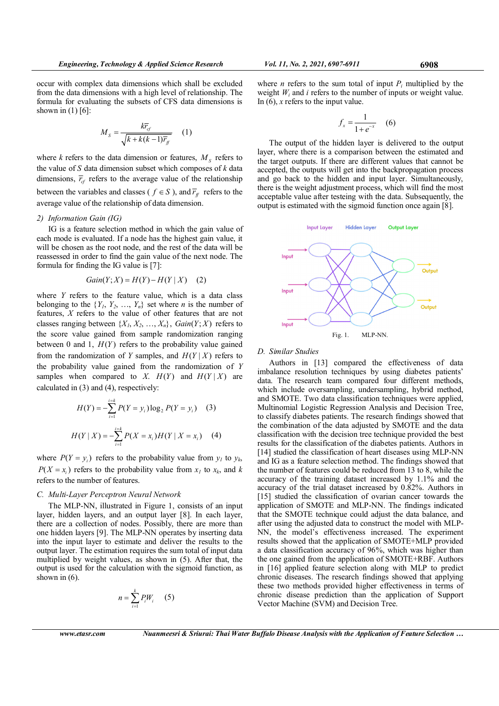occur with complex data dimensions which shall be excluded from the data dimensions with a high level of relationship. The formula for evaluating the subsets of CFS data dimensions is shown in  $(1)$  [6]:

$$
M_{s} = \frac{k\overline{r}_{cf}}{\sqrt{k + k(k-1)\overline{r}_{f}}}
$$
 (1)

where  $k$  refers to the data dimension or features,  $M<sub>S</sub>$  refers to the value of  $S$  data dimension subset which composes of  $k$  data dimensions,  $\overline{r}_{cf}$  refers to the average value of the relationship between the variables and classes (  $f \in S$  ), and  $\overline{r}_f$  refers to the average value of the relationship of data dimension.

## 2) Information Gain (IG)

IG is a feature selection method in which the gain value of each mode is evaluated. If a node has the highest gain value, it will be chosen as the root node, and the rest of the data will be reassessed in order to find the gain value of the next node. The formula for finding the IG value is [7]:

$$
Gain(Y; X) = H(Y) - H(Y | X) \quad (2)
$$

where  $Y$  refers to the feature value, which is a data class belonging to the  $\{Y_1, Y_2, ..., Y_n\}$  set where *n* is the number of features, X refers to the value of other features that are not classes ranging between  $\{X_1, X_2, ..., X_n\}$ ,  $Gain(Y; X)$  refers to the score value gained from sample randomization ranging between 0 and 1,  $H(Y)$  refers to the probability value gained from the randomization of Y samples, and  $H(Y|X)$  refers to the probability value gained from the randomization of Y samples when compared to X.  $H(Y)$  and  $H(Y|X)$  are calculated in (3) and (4), respectively:

$$
H(Y) = -\sum_{i=1}^{i=k} P(Y = y_i) \log_2 P(Y = y_i)
$$
 (3)  

$$
H(Y | X) = -\sum_{i=1}^{i=k} P(X = x_i) H(Y | X = x_i)
$$
 (4)

where  $P(Y = y_i)$  refers to the probability value from  $y_i$  to  $y_k$ ,  $P(X = x_i)$  refers to the probability value from  $x_i$  to  $x_k$ , and k refers to the number of features.

## C. Multi-Layer Perceptron Neural Network

The MLP-NN, illustrated in Figure 1, consists of an input layer, hidden layers, and an output layer [8]. In each layer, there are a collection of nodes. Possibly, there are more than one hidden layers [9]. The MLP-NN operates by inserting data into the input layer to estimate and deliver the results to the output layer. The estimation requires the sum total of input data multiplied by weight values, as shown in (5). After that, the output is used for the calculation with the sigmoid function, as shown in (6).

$$
n = \sum_{i=1}^{k} P_i W_i \qquad (5)
$$

where *n* refers to the sum total of input  $P_i$  multiplied by the weight  $W_i$  and i refers to the number of inputs or weight value. In  $(6)$ , x refers to the input value.

$$
f_x = \frac{1}{1 + e^{-x}} \quad (6)
$$

The output of the hidden layer is delivered to the output layer, where there is a comparison between the estimated and the target outputs. If there are different values that cannot be accepted, the outputs will get into the backpropagation process and go back to the hidden and input layer. Simultaneously, there is the weight adjustment process, which will find the most acceptable value after testeing with the data. Subsequently, the output is estimated with the sigmoid function once again [8].



#### D. Similar Studies

Authors in [13] compared the effectiveness of data imbalance resolution techniques by using diabetes patients' data. The research team compared four different methods, which include oversampling, undersampling, hybrid method, and SMOTE. Two data classification techniques were applied, Multinomial Logistic Regression Analysis and Decision Tree, to classify diabetes patients. The research findings showed that the combination of the data adjusted by SMOTE and the data classification with the decision tree technique provided the best results for the classification of the diabetes patients. Authors in [14] studied the classification of heart diseases using MLP-NN and IG as a feature selection method. The findings showed that the number of features could be reduced from 13 to 8, while the accuracy of the training dataset increased by 1.1% and the accuracy of the trial dataset increased by 0.82%. Authors in [15] studied the classification of ovarian cancer towards the application of SMOTE and MLP-NN. The findings indicated that the SMOTE technique could adjust the data balance, and after using the adjusted data to construct the model with MLP-NN, the model's effectiveness increased. The experiment results showed that the application of SMOTE+MLP provided a data classification accuracy of 96%, which was higher than the one gained from the application of SMOTE+RBF. Authors in [16] applied feature selection along with MLP to predict chronic diseases. The research findings showed that applying these two methods provided higher effectiveness in terms of chronic disease prediction than the application of Support Vector Machine (SVM) and Decision Tree.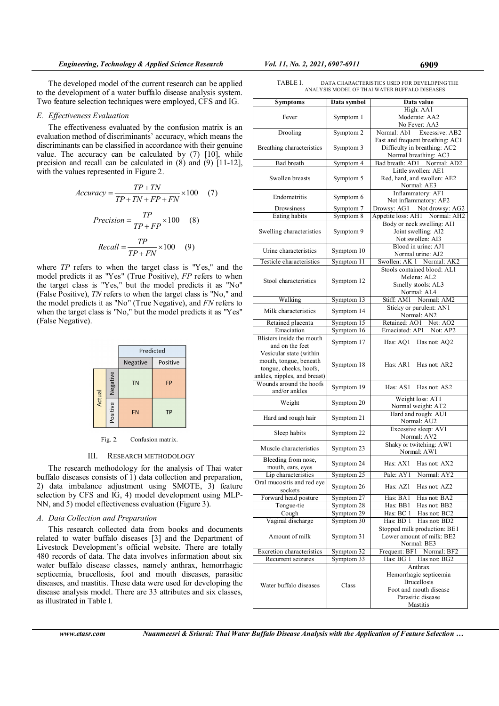The developed model of the current research can be applied to the development of a water buffalo disease analysis system. Two feature selection techniques were employed, CFS and IG.

### E. Effectiveness Evaluation

The effectiveness evaluated by the confusion matrix is an evaluation method of discriminants' accuracy, which means the discriminants can be classified in accordance with their genuine value. The accuracy can be calculated by (7) [10], while precision and recall can be calculated in  $(8)$  and  $(9)$  [11-12], with the values represented in Figure 2.

$$
Accuracy = \frac{TP + TN}{TP + TN + FP + FN} \times 100 \quad (7)
$$

$$
Precision = \frac{TP}{TP + FP} \times 100 \quad (8)
$$

$$
Recall = \frac{TP}{TP + FN} \times 100 \quad (9)
$$

where TP refers to when the target class is "Yes," and the model predicts it as "Yes" (True Positive), FP refers to when the target class is "Yes," but the model predicts it as "No" (False Positive), TN refers to when the target class is "No," and the model predicts it as "No" (True Negative), and FN refers to when the target class is "No," but the model predicts it as "Yes" (False Negative).

|  |        |          | Predicted            |           |  |  |  |  |  |
|--|--------|----------|----------------------|-----------|--|--|--|--|--|
|  |        |          | Negative<br>Positive |           |  |  |  |  |  |
|  | Actual | Negative | <b>TN</b>            | <b>FP</b> |  |  |  |  |  |
|  |        | Positive | <b>FN</b>            | <b>TP</b> |  |  |  |  |  |

Fig. 2. Confusion matrix.

#### III. RESEARCH METHODOLOGY

The research methodology for the analysis of Thai water buffalo diseases consists of 1) data collection and preparation, 2) data imbalance adjustment using SMOTE, 3) feature selection by CFS and IG, 4) model development using MLP-NN, and 5) model effectiveness evaluation (Figure 3).

# A. Data Collection and Preparation

This research collected data from books and documents related to water buffalo diseases [3] and the Department of Livestock Development's official website. There are totally 480 records of data. The data involves information about six water buffalo disease classes, namely anthrax, hemorrhagic septicemia, brucellosis, foot and mouth diseases, parasitic diseases, and mastitis. These data were used for developing the disease analysis model. There are 33 attributes and six classes, as illustrated in Table I.

| TABLE I. | DATA CHARACTERISTICS USED FOR DEVELOPING THE  |
|----------|-----------------------------------------------|
|          | ANALYSIS MODEL OF THAI WATER BUFFALO DISEASES |

| <b>Symptoms</b>                                        | Data symbol              | Data value                                                   |  |  |  |  |  |  |
|--------------------------------------------------------|--------------------------|--------------------------------------------------------------|--|--|--|--|--|--|
|                                                        |                          | High: AA1                                                    |  |  |  |  |  |  |
| Fever                                                  | Symptom 1                | Moderate: AA2<br>No Fever: AA3                               |  |  |  |  |  |  |
| Drooling                                               | Symptom 2                | Normal: Ab1<br>Excessive: AB2                                |  |  |  |  |  |  |
|                                                        |                          | Fast and frequent breathing: AC1                             |  |  |  |  |  |  |
| Breathing characteristics                              | Symptom 3                | Difficulty in breathing: AC2                                 |  |  |  |  |  |  |
|                                                        |                          | Normal breathing: AC3                                        |  |  |  |  |  |  |
| Bad breath                                             | Symptom 4                | Bad breath: AD1 Normal: AD2<br>Little swollen: AE1           |  |  |  |  |  |  |
| Swollen breasts                                        | Symptom 5                | Red, hard, and swollen: AE2                                  |  |  |  |  |  |  |
|                                                        |                          | Normal: AE3                                                  |  |  |  |  |  |  |
|                                                        |                          | Inflammatory: AF1                                            |  |  |  |  |  |  |
| Endometritis                                           | Symptom 6                | Not inflammatory: AF2                                        |  |  |  |  |  |  |
| Drowsiness                                             | Symptom 7                | Drowsy: AG1 Not drowsy: AG2                                  |  |  |  |  |  |  |
| Eating habits                                          | Symptom 8                | Appetite loss: AH1 Normal: AH2<br>Body or neck swelling: AI1 |  |  |  |  |  |  |
| Swelling characteristics                               | Symptom 9                | Joint swelling: AI2                                          |  |  |  |  |  |  |
|                                                        |                          | Not swollen: AI3                                             |  |  |  |  |  |  |
| Urine characteristics                                  | Symptom 10               | Blood in urine: AJ1                                          |  |  |  |  |  |  |
|                                                        |                          | Normal urine: AJ2                                            |  |  |  |  |  |  |
| Testicle characteristics                               | Symptom 11               | Swollen: AK 1 Normal: AK2<br>Stools contained blood: AL1     |  |  |  |  |  |  |
|                                                        |                          | Melena: AL2                                                  |  |  |  |  |  |  |
| Stool characteristics                                  | Symptom 12               | Smelly stools: AL3                                           |  |  |  |  |  |  |
|                                                        |                          | Normal: AL4                                                  |  |  |  |  |  |  |
| Walking                                                | Symptom 13               | Stiff: AM1 Normal: AM2                                       |  |  |  |  |  |  |
| Milk characteristics                                   | Symptom 14               | Sticky or purulent: AN1                                      |  |  |  |  |  |  |
| Retained placenta                                      | Symptom 15               | Normal: AN2<br>Retained: AO1 Not: AO2                        |  |  |  |  |  |  |
| Emaciation                                             | Symptom 16               | Emaciated: AP1 Not: AP2                                      |  |  |  |  |  |  |
| Blisters inside the mouth                              |                          |                                                              |  |  |  |  |  |  |
| and on the feet                                        | Symptom 17               | Has: AQ1<br>Has not: AQ2                                     |  |  |  |  |  |  |
| Vesicular state (within                                |                          |                                                              |  |  |  |  |  |  |
| mouth, tongue, beneath                                 | Symptom 18               | Has: AR1<br>Has not: AR2                                     |  |  |  |  |  |  |
| tongue, cheeks, hoofs,<br>ankles, nipples, and breast) |                          |                                                              |  |  |  |  |  |  |
| Wounds around the hoofs                                |                          |                                                              |  |  |  |  |  |  |
| and/or ankles                                          | Symptom 19               | Has: AS1<br>Has not: AS2                                     |  |  |  |  |  |  |
| Weight                                                 | Symptom 20               | Weight loss: AT1                                             |  |  |  |  |  |  |
|                                                        |                          | Normal weight: AT2                                           |  |  |  |  |  |  |
| Hard and rough hair                                    | Symptom 21               | Hard and rough: AU1<br>Normal: AU2                           |  |  |  |  |  |  |
|                                                        |                          | Excessive sleep: AV1                                         |  |  |  |  |  |  |
| Sleep habits                                           | Symptom 22               | Normal: AV2                                                  |  |  |  |  |  |  |
| Muscle characteristics                                 | Symptom 23               | Shaky or twitching: AW1                                      |  |  |  |  |  |  |
|                                                        |                          | Normal: AW1                                                  |  |  |  |  |  |  |
| Bleeding from nose,<br>mouth, ears, eyes               | Symptom 24               | Has: AX1<br>Has not: AX2                                     |  |  |  |  |  |  |
| Lip characteristics                                    | Symptom 25               | Pale: AY1<br>Normal: AY2                                     |  |  |  |  |  |  |
| Oral mucositis and red eye                             |                          | Has: AZ1                                                     |  |  |  |  |  |  |
| sockets                                                | Symptom 26               | Has not: AZ2                                                 |  |  |  |  |  |  |
| Forward head posture                                   | Symptom 27               | Has: BA1<br>Has not: BA2                                     |  |  |  |  |  |  |
| Tongue-tie                                             | Symptom 28               | Has: BB1<br>Has not: BB2<br>Has not: BC2                     |  |  |  |  |  |  |
| Cough<br>Vaginal discharge                             | Symptom 29<br>Symptom 30 | Has: BC 1<br>Has: BD 1<br>Has not: BD2                       |  |  |  |  |  |  |
|                                                        |                          | Stopped milk production: BE1                                 |  |  |  |  |  |  |
| Amount of milk                                         | Symptom 31               | Lower amount of milk: BE2                                    |  |  |  |  |  |  |
|                                                        |                          | Normal: BE3                                                  |  |  |  |  |  |  |
| Excretion characteristics                              | Symptom 32               | Frequent: BF1 Normal: BF2                                    |  |  |  |  |  |  |
| Recurrent seizures                                     | Symptom 33               | Has: BG 1 Has not: BG2                                       |  |  |  |  |  |  |
|                                                        |                          | Anthrax                                                      |  |  |  |  |  |  |
|                                                        |                          | Hemorrhagic septicemia<br><b>Brucellosis</b>                 |  |  |  |  |  |  |
| Water buffalo diseases                                 | Class                    | Foot and mouth disease                                       |  |  |  |  |  |  |
|                                                        |                          | Parasitic disease                                            |  |  |  |  |  |  |
|                                                        |                          | Mastitis                                                     |  |  |  |  |  |  |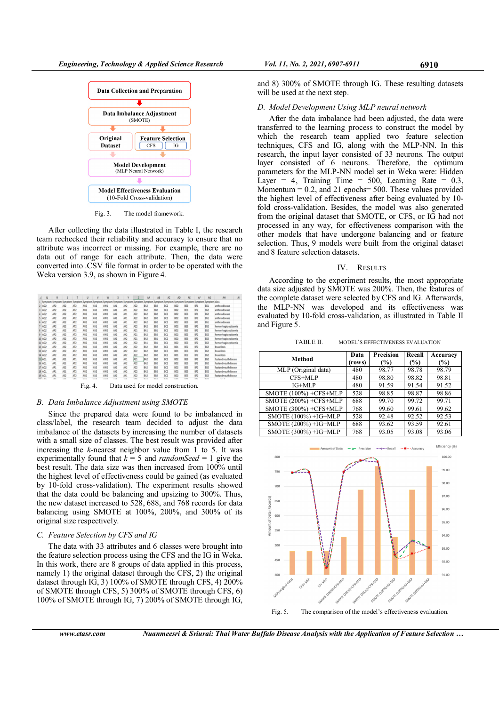

Fig. 3. The model framework.

After collecting the data illustrated in Table I, the research team rechecked their reliability and accuracy to ensure that no attribute was incorrect or missing. For example, there are no data out of range for each attribute. Then, the data were converted into .CSV file format in order to be operated with the Weka version 3.9, as shown in Figure 4.

| $\Omega$          | R          |       |                 | U               | V               | W                                       | X      |                 |                 | AA         | A <sub>3</sub> | AC            | AD              | AE         | AF                      | AG              | AH<br>$\mathcal{A}$   |
|-------------------|------------|-------|-----------------|-----------------|-----------------|-----------------------------------------|--------|-----------------|-----------------|------------|----------------|---------------|-----------------|------------|-------------------------|-----------------|-----------------------|
| Symptom           | Sympton    | Sumot |                 | Symptom Symptom | Symptom         | Symptom Symptom Symptom Symptom Symptom |        |                 |                 |            | Symptom        | Symptom       |                 |            | Symptom Symptom Symptom | Symptom class   |                       |
| AQ2               | AR2        | AS2   | AT <sub>2</sub> | AU2             | AV <sub>2</sub> | AW1                                     | AX1    | AY2             | AZ2             | BA2        | <b>B82</b>     | BCZ           | <b>BD2</b>      | BE3        | BF1                     | BG1             | anthraxdisease        |
| AQ2               | AR2        | AS2   | AT <sub>2</sub> | AU2             | AV2             | AW1                                     | AX1    | AY1             | AZ2             | <b>BA2</b> | 882            | BC2           | BD <sub>2</sub> | BE3        | BF <sub>2</sub>         | BG2             | anthraxdisease        |
| AQ2               | AR2        | AS2   | AT <sub>2</sub> | AU2             | AV <sub>2</sub> | AW2                                     | AX2    | AY1             | AZ2             | BA2        | 882            | BC2           | <b>BD2</b>      | BE3        | BF1                     | BG <sub>2</sub> | anthraxdisease        |
| AQ2               | AR2        | AS2   | AT <sub>2</sub> | AU2             | AV <sub>2</sub> | AW1                                     | AX1    | AY1             | AZ2             | BA2        | 882            | BC2           | <b>BD2</b>      | BE3        | BF <sub>2</sub>         | BG1             | anthraxdisease        |
| AQ <sub>2</sub>   | AR2        | AS2   | AT <sub>2</sub> | AU2             | AV2             | AW2                                     | AX2    | AY1             | AZ2             | BA2        | 882            | BC2           | <b>BD2</b>      | BE3        | BF1                     | BG1             | anthraxdisease        |
| AQ2               | AR2        | AS2   | AT <sub>2</sub> | AU2             | AV1             | AW2                                     | AX2    | AY2             | AZ2             | BA2        | <b>B82</b>     | BC2           | BD <sub>2</sub> | BE3        | BF <sub>2</sub>         | BG2             | hemorrhagicsepticemia |
| AO2               | AR2        | AS2   | AT2             | AU2             | AV2             | AW2                                     | AX2    | AY2             | AZ1             | <b>BA1</b> | 881            | BC2           | BD <sub>2</sub> | BE3        | 8F2                     | BG2             | hemorrhagicsepticemia |
| AQ2               | AR2        | AS2   | AT <sub>2</sub> | AU2             | AV2             | AW2                                     | AX2    | AY2             | AZ1             | BA2        | 882            | BCI           | BD <sub>2</sub> | BE3        | BF <sub>2</sub>         | BG2             | hemorrhagicsepticemia |
| 10 AQ2            | AR2        | AS2   | AT <sub>2</sub> | AU2             | AV2             | AW2                                     | AX2    | AY2             | AZ1             | <b>BA2</b> | <b>B81</b>     | BC2           | BD <sub>2</sub> | BE3        | BF2                     | BG2             | hemorrhagicsepticemia |
| 11 AQ2            | AR2        | AS2   | AT <sub>2</sub> | AU2             | AV <sub>2</sub> | AW2                                     | AX2    | AY2             | AZ2             | BA1        | 881            | BC1           | BD <sub>2</sub> | BE3        | BF2                     | BG <sub>2</sub> | hemorrhagicsepticemia |
| 12 AQ2            | AR2        | AS2   | AT2             | AU2             | AV2             | AW2                                     | AX2    | AY2             | AZ2             | BA2        | 882            | BCZ           | BD1             | BE2        | BF2                     | BG2             | brucellosis           |
| 13 AQ2            | AR2        | AS2   | AT <sub>2</sub> | AU2             | AV2             | AW2                                     | AX2    | AY2             | AZ <sub>2</sub> | BA2        | 882            | BC2           | B <sub>D1</sub> | BE3        | 8F2                     | BG2             | brucellosis           |
| 14 AQ2            | AR2        | AS2   | AT2             | AU2             | AV2             | AW2                                     | AX2    | AY2             | AZ2             | BA2        | 882            | BC2           | BD1             | BE2        | BF2                     | BG2             | <b>brucellosis</b>    |
| 15 AQ1            | AR1        | AS1   | AT1             | AU2             | AV2             | AW2                                     | AX2    | AY1             | AZ1             | BA2        | 882            | BCZ           | <b>BD2</b>      | BE3        | BF2                     | BG2             | footandmouthdisease   |
| 16 AQ1            | AR1        | AS1   | AT2             | AU2             | AV2             | AW2                                     | AX2    | AY <sub>2</sub> | AZ2             | BA2        | 882            | BCZ           | BD2             | BE1        | BF2                     | BG2             | footandmouthdisease   |
| 17 AQ2            | AR1        | AS2   | AT2             | AU2             | AV2             | AW2                                     | AX2    | AY2             | AZ2             | RA2        | 882            | BCZ           | <b>BD2</b>      | BE3        | BF2                     | BG2             | footandmouthdisease   |
| 18 AQ1            | AR1        | AS1   | AT <sub>2</sub> | AU2             | AV <sub>2</sub> | AW2                                     | AX2    | AY <sub>2</sub> | AZ2             | BA2        | 882            | BC2           | <b>BD2</b>      | BE1        | BF2                     | BG2             | footandmouthdisease   |
| 19 AQ1            | AR1        | AS2   | AT2             | AU2             | AV2             | AW2                                     | AX2    | AY1             | AZ2             | BA2        | 882            | BCZ           | BD2             | BE3        | BF2                     | BG2             | footandmouthdisease   |
| <b>MAIL 4-0-2</b> | <b>ABA</b> | 1.01  | $-20$           | <b>A RIVE</b>   | <b>ALCOHOL</b>  | ----                                    | a son. | <b>A MAIN</b>   | $-$             | 2.11       | <b>BAR</b>     | <b>Bullet</b> | <b>BAR</b>      | <b>ACA</b> | <b>Ballie</b>           | <b>But it</b>   | tel: in               |

Fig. 4. Data used for model construction.

## B. Data Imbalance Adjustment using SMOTE

Since the prepared data were found to be imbalanced in class/label, the research team decided to adjust the data imbalance of the datasets by increasing the number of datasets with a small size of classes. The best result was provided after increasing the  $k$ -nearest neighbor value from 1 to 5. It was experimentally found that  $k = 5$  and *randomSeed* = 1 give the best result. The data size was then increased from 100% until the highest level of effectiveness could be gained (as evaluated by 10-fold cross-validation). The experiment results showed that the data could be balancing and upsizing to 300%. Thus, the new dataset increased to 528, 688, and 768 records for data balancing using SMOTE at 100%, 200%, and 300% of its original size respectively.

## C. Feature Selection by CFS and IG

The data with 33 attributes and 6 classes were brought into the feature selection process using the CFS and the IG in Weka. In this work, there are 8 groups of data applied in this process, namely 1) the original dataset through the CFS, 2) the original dataset through IG, 3) 100% of SMOTE through CFS, 4) 200% of SMOTE through CFS, 5) 300% of SMOTE through CFS, 6) 100% of SMOTE through IG, 7) 200% of SMOTE through IG, and 8) 300% of SMOTE through IG. These resulting datasets will be used at the next step.

# D. Model Development Using MLP neural network

After the data imbalance had been adjusted, the data were transferred to the learning process to construct the model by which the research team applied two feature selection techniques, CFS and IG, along with the MLP-NN. In this research, the input layer consisted of 33 neurons. The output layer consisted of 6 neurons. Therefore, the optimum parameters for the MLP-NN model set in Weka were: Hidden Layer = 4, Training Time =  $500$ , Learning Rate =  $0.3$ , Momentum  $= 0.2$ , and 21 epochs $= 500$ . These values provided the highest level of effectiveness after being evaluated by 10 fold cross-validation. Besides, the model was also generated from the original dataset that SMOTE, or CFS, or IG had not processed in any way, for effectiveness comparison with the other models that have undergone balancing and or feature selection. Thus, 9 models were built from the original dataset and 8 feature selection datasets.

#### IV. RESULTS

According to the experiment results, the most appropriate data size adjusted by SMOTE was 200%. Then, the features of the complete dataset were selected by CFS and IG. Afterwards, the MLP-NN was developed and its effectiveness was evaluated by 10-fold cross-validation, as illustrated in Table II and Figure 5.

TABLE II. MODEL'S EFFECTIVENESS EVALUATION

| Method                      | Data   | Precision | Recall | Accuracy |
|-----------------------------|--------|-----------|--------|----------|
|                             | (rows) | (%)       | (%)    | (%)      |
| MLP (Original data)         | 480    | 98.77     | 98.78  | 98.79    |
| CFS+MLP                     | 480    | 98.80     | 98.82  | 98.81    |
| $IG+MLP$                    | 480    | 91.59     | 91.54  | 91.52    |
| SMOTE $(100\%) + CFS + MLP$ | 528    | 98.85     | 98.87  | 98.86    |
| SMOTE (200%) +CFS+MLP       | 688    | 99.70     | 99.72  | 99.71    |
| SMOTE (300%) +CFS+MLP       | 768    | 99.60     | 99.61  | 99.62    |
| SMOTE (100%) +IG+MLP        | 528    | 92.48     | 92.52  | 92.53    |
| SMOTE (200%) +IG+MLP        | 688    | 93.62     | 93.59  | 92.61    |
| SMOTE (300%) +IG+MLP        | 768    | 93.05     | 93.08  | 93.06    |